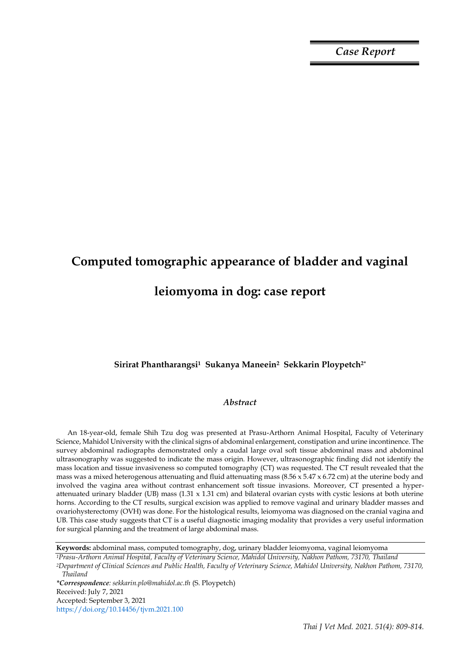*Case Report*

# **Computed tomographic appearance of bladder and vaginal leiomyoma in dog: case report**

# **Sirirat Phantharangsi1 Sukanya Maneein2 Sekkarin Ploypetch2\***

# *Abstract*

An 18-year-old, female Shih Tzu dog was presented at Prasu-Arthorn Animal Hospital, Faculty of Veterinary Science, Mahidol University with the clinical signs of abdominal enlargement, constipation and urine incontinence. The survey abdominal radiographs demonstrated only a caudal large oval soft tissue abdominal mass and abdominal ultrasonography was suggested to indicate the mass origin. However, ultrasonographic finding did not identify the mass location and tissue invasiveness so computed tomography (CT) was requested. The CT result revealed that the mass was a mixed heterogenous attenuating and fluid attenuating mass (8.56 x 5.47 x 6.72 cm) at the uterine body and involved the vagina area without contrast enhancement soft tissue invasions. Moreover, CT presented a hyperattenuated urinary bladder (UB) mass (1.31 x 1.31 cm) and bilateral ovarian cysts with cystic lesions at both uterine horns. According to the CT results, surgical excision was applied to remove vaginal and urinary bladder masses and ovariohysterectomy (OVH) was done. For the histological results, leiomyoma was diagnosed on the cranial vagina and UB. This case study suggests that CT is a useful diagnostic imaging modality that provides a very useful information for surgical planning and the treatment of large abdominal mass.

**Keywords:** abdominal mass, computed tomography, dog, urinary bladder leiomyoma, vaginal leiomyoma

*<sup>1</sup>Prasu-Arthorn Animal Hospital, Faculty of Veterinary Science, Mahidol University, Nakhon Pathom, 73170, Thailand <sup>2</sup>Department of Clinical Sciences and Public Health, Faculty of Veterinary Science, Mahidol University, Nakhon Pathom, 73170, Thailand*

*\*Correspondence: sekkarin.plo@mahidol.ac.th* (S. Ploypetch) Received: July 7, 2021 Accepted: September 3, 2021 https://doi.org/10.14456/tjvm.2021.100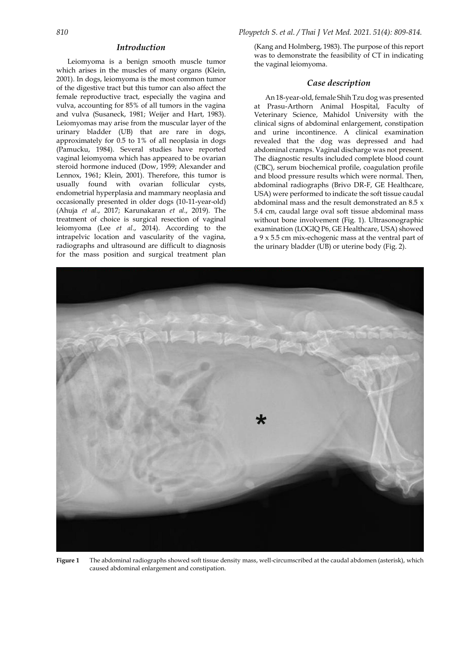## *Introduction*

Leiomyoma is a benign smooth muscle tumor which arises in the muscles of many organs (Klein, 2001). In dogs, leiomyoma is the most common tumor of the digestive tract but this tumor can also affect the female reproductive tract, especially the vagina and vulva, accounting for 85% of all tumors in the vagina and vulva (Susaneck, 1981; Weijer and Hart, 1983). Leiomyomas may arise from the muscular layer of the urinary bladder (UB) that are rare in dogs, approximately for 0.5 to 1% of all neoplasia in dogs (Pamucku, 1984). Several studies have reported vaginal leiomyoma which has appeared to be ovarian steroid hormone induced (Dow, 1959; Alexander and Lennox, 1961; Klein, 2001). Therefore, this tumor is usually found with ovarian follicular cysts, endometrial hyperplasia and mammary neoplasia and occasionally presented in older dogs (10-11-year-old) (Ahuja *et al*., 2017; Karunakaran *et al*., 2019). The treatment of choice is surgical resection of vaginal leiomyoma (Lee *et al*., 2014). According to the intrapelvic location and vascularity of the vagina, radiographs and ultrasound are difficult to diagnosis for the mass position and surgical treatment plan

(Kang and Holmberg, 1983). The purpose of this report was to demonstrate the feasibility of CT in indicating the vaginal leiomyoma.

### *Case description*

An 18-year-old, female Shih Tzu dog was presented at Prasu-Arthorn Animal Hospital, Faculty of Veterinary Science, Mahidol University with the clinical signs of abdominal enlargement, constipation and urine incontinence. A clinical examination revealed that the dog was depressed and had abdominal cramps. Vaginal discharge was not present. The diagnostic results included complete blood count (CBC), serum biochemical profile, coagulation profile and blood pressure results which were normal. Then, abdominal radiographs (Brivo DR-F, GE Healthcare, USA) were performed to indicate the soft tissue caudal abdominal mass and the result demonstrated an 8.5 x 5.4 cm, caudal large oval soft tissue abdominal mass without bone involvement (Fig. 1). Ultrasonographic examination (LOGIQ P6, GE Healthcare, USA) showed a 9 x 5.5 cm mix-echogenic mass at the ventral part of the urinary bladder (UB) or uterine body (Fig. 2).



**Figure 1** The abdominal radiographs showed soft tissue density mass, well-circumscribed at the caudal abdomen (asterisk), which caused abdominal enlargement and constipation.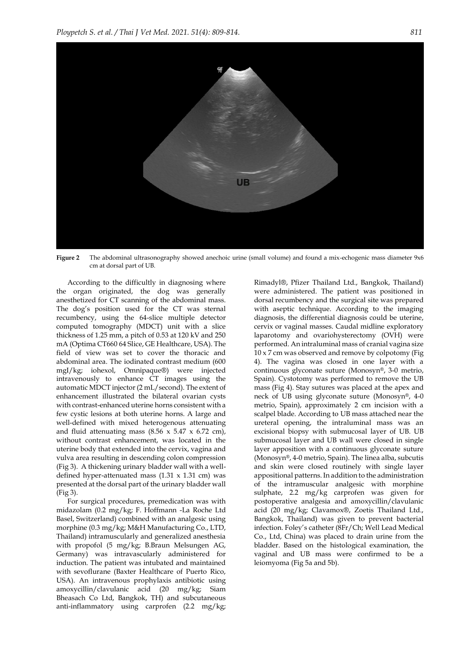

**Figure 2** The abdominal ultrasonography showed anechoic urine (small volume) and found a mix-echogenic mass diameter 9x6 cm at dorsal part of UB.

According to the difficultly in diagnosing where the organ originated, the dog was generally anesthetized for CT scanning of the abdominal mass. The dog's position used for the CT was sternal recumbency, using the 64-slice multiple detector computed tomography (MDCT) unit with a slice thickness of 1.25 mm, a pitch of 0.53 at 120 kV and 250 mA (Optima CT660 64 Slice, GE Healthcare, USA). The field of view was set to cover the thoracic and abdominal area. The iodinated contrast medium (600 mgI/kg; iohexol, Omnipaque®) were injected intravenously to enhance CT images using the automatic MDCT injector (2 mL/second). The extent of enhancement illustrated the bilateral ovarian cysts with contrast-enhanced uterine horns consistent with a few cystic lesions at both uterine horns. A large and well-defined with mixed heterogenous attenuating and fluid attenuating mass  $(8.56 \times 5.47 \times 6.72 \text{ cm})$ , without contrast enhancement, was located in the uterine body that extended into the cervix, vagina and vulva area resulting in descending colon compression (Fig 3). A thickening urinary bladder wall with a welldefined hyper-attenuated mass  $(1.31 \times 1.31 \text{ cm})$  was presented at the dorsal part of the urinary bladder wall (Fig 3).

For surgical procedures, premedication was with midazolam (0.2 mg/kg; F. Hoffmann -La Roche Ltd Basel, Switzerland) combined with an analgesic using morphine (0.3 mg/kg; M&H Manufacturing Co., LTD, Thailand) intramuscularly and generalized anesthesia with propofol (5 mg/kg; B.Braun Melsungen AG, Germany) was intravascularly administered for induction. The patient was intubated and maintained with sevoflurane (Baxter Healthcare of Puerto Rico, USA). An intravenous prophylaxis antibiotic using amoxycillin/clavulanic acid (20 mg/kg; Siam Bheasach Co Ltd, Bangkok, TH) and subcutaneous anti-inflammatory using carprofen (2.2 mg/kg;

Rimadyl®, Pfizer Thailand Ltd., Bangkok, Thailand) were administered. The patient was positioned in dorsal recumbency and the surgical site was prepared with aseptic technique. According to the imaging diagnosis, the differential diagnosis could be uterine, cervix or vaginal masses. Caudal midline exploratory laparotomy and ovariohysterectomy (OVH) were performed. An intraluminal mass of cranial vagina size 10 x 7 cm was observed and remove by colpotomy (Fig 4). The vagina was closed in one layer with a continuous glyconate suture (Monosyn®, 3-0 metrio, Spain). Cystotomy was performed to remove the UB mass (Fig 4). Stay sutures was placed at the apex and neck of UB using glyconate suture (Monosyn®, 4-0 metrio, Spain), approximately 2 cm incision with a scalpel blade. According to UB mass attached near the ureteral opening, the intraluminal mass was an excisional biopsy with submucosal layer of UB. UB submucosal layer and UB wall were closed in single layer apposition with a continuous glyconate suture (Monosyn®, 4-0 metrio, Spain). The linea alba, subcutis and skin were closed routinely with single layer appositional patterns. In addition to the administration of the intramuscular analgesic with morphine sulphate, 2.2 mg/kg carprofen was given for postoperative analgesia and amoxycillin/clavulanic acid (20 mg/kg; Clavamox®, Zoetis Thailand Ltd., Bangkok, Thailand) was given to prevent bacterial infection. Foley's catheter (8Fr/Ch; Well Lead Medical Co., Ltd, China) was placed to drain urine from the bladder. Based on the histological examination, the vaginal and UB mass were confirmed to be a leiomyoma (Fig 5a and 5b).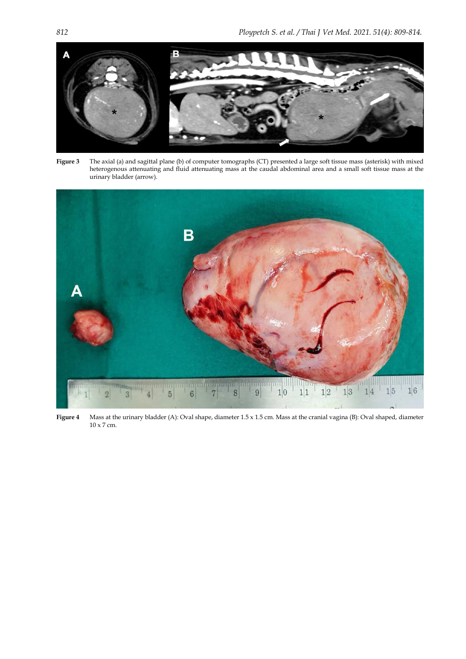

**Figure 3** The axial (a) and sagittal plane (b) of computer tomographs (CT) presented a large soft tissue mass (asterisk) with mixed heterogenous attenuating and fluid attenuating mass at the caudal abdominal area and a small soft tissue mass at the urinary bladder (arrow).



**Figure 4** Mass at the urinary bladder (A): Oval shape, diameter 1.5 x 1.5 cm. Mass at the cranial vagina (B): Oval shaped, diameter 10 x 7 cm.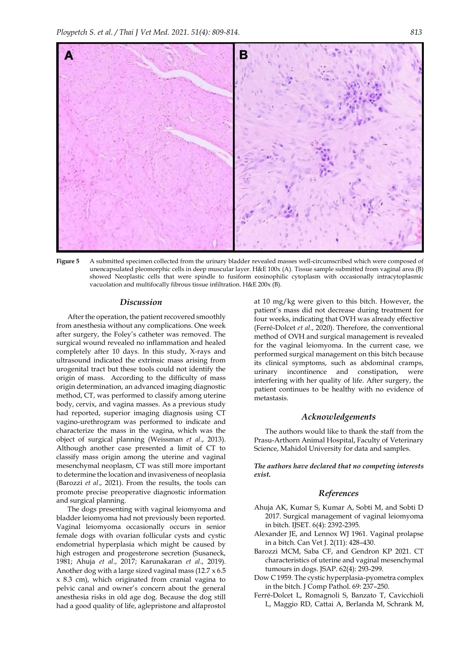

**Figure 5** A submitted specimen collected from the urinary bladder revealed masses well-circumscribed which were composed of unencapsulated pleomorphic cells in deep muscular layer. H&E 100x (A). Tissue sample submitted from vaginal area (B) showed Neoplastic cells that were spindle to fusiform eosinophilic cytoplasm with occasionally intracytoplasmic vacuolation and multifocally fibrous tissue infiltration. H&E 200x (B).

#### *Discussion*

After the operation, the patient recovered smoothly from anesthesia without any complications. One week after surgery, the Foley's catheter was removed. The surgical wound revealed no inflammation and healed completely after 10 days. In this study, X-rays and ultrasound indicated the extrinsic mass arising from urogenital tract but these tools could not identify the origin of mass. According to the difficulty of mass origin determination, an advanced imaging diagnostic method, CT, was performed to classify among uterine body, cervix, and vagina masses. As a previous study had reported, superior imaging diagnosis using CT vagino-urethrogram was performed to indicate and characterize the mass in the vagina, which was the object of surgical planning (Weissman *et al*., 2013). Although another case presented a limit of CT to classify mass origin among the uterine and vaginal mesenchymal neoplasm, CT was still more important to determine the location and invasiveness of neoplasia (Barozzi *et al*., 2021). From the results, the tools can promote precise preoperative diagnostic information and surgical planning.

The dogs presenting with vaginal leiomyoma and bladder leiomyoma had not previously been reported. Vaginal leiomyoma occasionally occurs in senior female dogs with ovarian follicular cysts and cystic endometrial hyperplasia which might be caused by high estrogen and progesterone secretion (Susaneck, 1981; Ahuja *et al*., 2017; Karunakaran *et al*., 2019). Another dog with a large sized vaginal mass (12.7 x 6.5 x 8.3 cm), which originated from cranial vagina to pelvic canal and owner's concern about the general anesthesia risks in old age dog. Because the dog still had a good quality of life, aglepristone and alfaprostol at 10 mg/kg were given to this bitch. However, the patient's mass did not decrease during treatment for four weeks, indicating that OVH was already effective (Ferré-Dolcet *et al*., 2020). Therefore, the conventional method of OVH and surgical management is revealed for the vaginal leiomyoma. In the current case, we performed surgical management on this bitch because its clinical symptoms, such as abdominal cramps, urinary incontinence and constipation, were interfering with her quality of life. After surgery, the patient continues to be healthy with no evidence of metastasis.

#### *Acknowledgements*

The authors would like to thank the staff from the Prasu-Arthorn Animal Hospital, Faculty of Veterinary Science, Mahidol University for data and samples.

*The authors have declared that no competing interests exist.*

## *References*

- Ahuja AK, Kumar S, Kumar A, Sobti M, and Sobti D 2017. Surgical management of vaginal leiomyoma in bitch. IJSET. 6(4): 2392-2395.
- Alexander JE, and Lennox WJ 1961. Vaginal prolapse in a bitch. Can Vet J. 2(11): 428–430.
- Barozzi MCM, Saba CF, and Gendron KP 2021. CT characteristics of uterine and vaginal mesenchymal tumours in dogs. JSAP. 62(4): 293-299.
- Dow C 1959. The cystic hyperplasia-pyometra complex in the bitch. J Comp Pathol. 69: 237–250.
- Ferré-Dolcet L, Romagnoli S, Banzato T, Cavicchioli L, Maggio RD, Cattai A, Berlanda M, Schrank M,